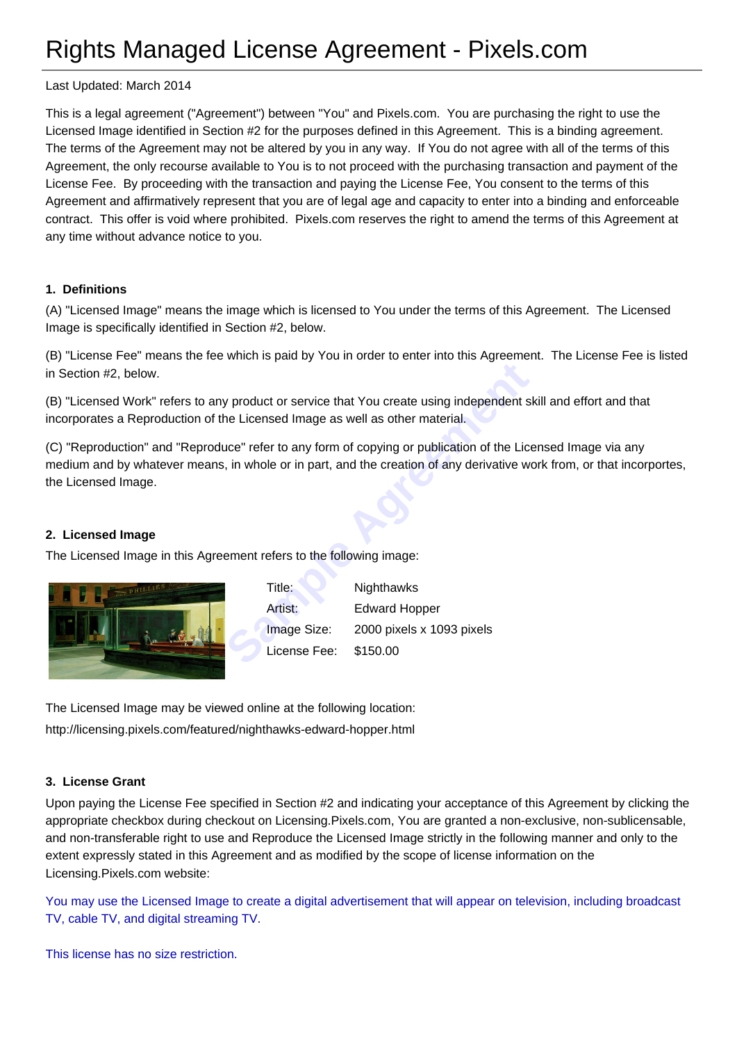# Rights Managed License Agreement - Pixels.com

Last Updated: March 2014

This is a legal agreement ("Agreement") between "You" and Pixels.com. You are purchasing the right to use the Licensed Image identified in Section #2 for the purposes defined in this Agreement. This is a binding agreement. The terms of the Agreement may not be altered by you in any way. If You do not agree with all of the terms of this Agreement, the only recourse available to You is to not proceed with the purchasing transaction and payment of the License Fee. By proceeding with the transaction and paying the License Fee, You consent to the terms of this Agreement and affirmatively represent that you are of legal age and capacity to enter into a binding and enforceable contract. This offer is void where prohibited. Pixels.com reserves the right to amend the terms of this Agreement at any time without advance notice to you.

#### **1. Definitions**

(A) "Licensed Image" means the image which is licensed to You under the terms of this Agreement. The Licensed Image is specifically identified in Section #2, below.

(B) "License Fee" means the fee which is paid by You in order to enter into this Agreement. The License Fee is listed in Section #2, below.

(B) "Licensed Work" refers to any product or service that You create using independent skill and effort and that incorporates a Reproduction of the Licensed Image as well as other material.

(C) "Reproduction" and "Reproduce" refer to any form of copying or publication of the Licensed Image via any medium and by whatever means, in whole or in part, and the creation of any derivative work from, or that incorportes, the Licensed Image.

#### **2. Licensed Image**

The Licensed Image in this Agreement refers to the following image:



France I of Service that You create using independent show Licensed Image as well as other material.<br>
Sample Trefer to any form of copying or publication of the License<br>
i, in whole or in part, and the creation of any deri Title: Nighthawks Artist: Edward Hopper Image Size: 2000 pixels x 1093 pixels License Fee: \$150.00

The Licensed Image may be viewed online at the following location: http://licensing.pixels.com/featured/nighthawks-edward-hopper.html

#### **[3. License Grant](http://licensing.pixels.com/featured/nighthawks-edward-hopper.html)**

Upon paying the License Fee specified in Section #2 and indicating your acceptance of this Agreement by clicking the appropriate checkbox during checkout on Licensing.Pixels.com, You are granted a non-exclusive, non-sublicensable, and non-transferable right to use and Reproduce the Licensed Image strictly in the following manner and only to the extent expressly stated in this Agreement and as modified by the scope of license information on the Licensing.Pixels.com website:

You may use the Licensed Image to create a digital advertisement that will appear on television, including broadcast TV, cable TV, and digital streaming TV.

This license has no size restriction.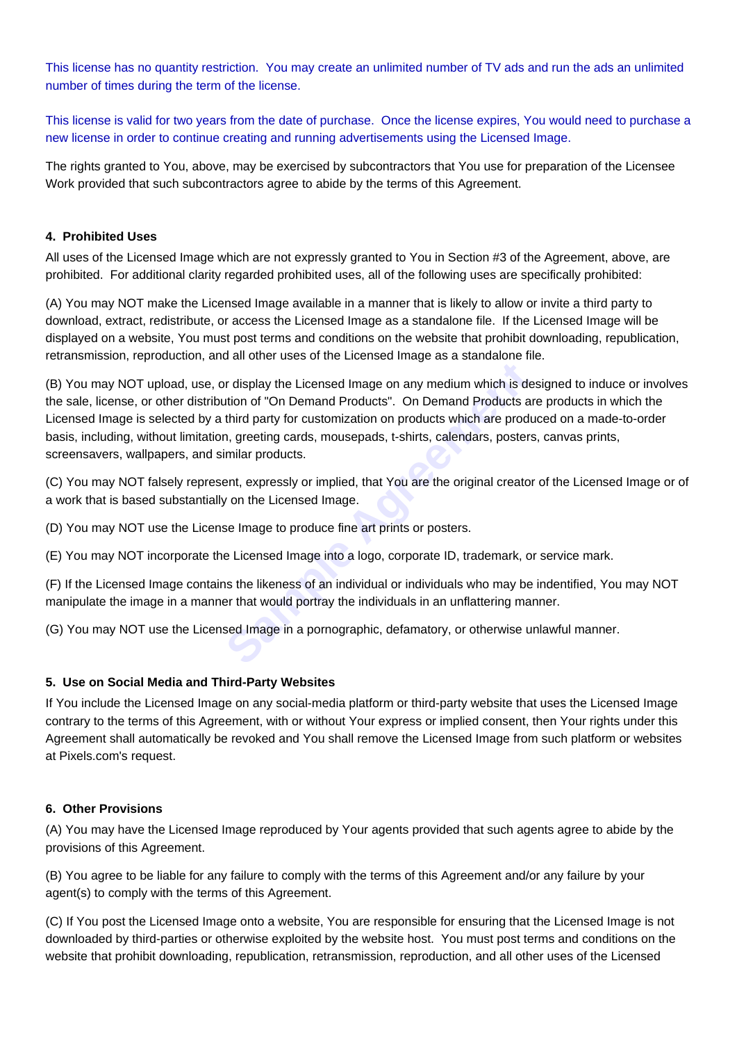This license has no quantity restriction. You may create an unlimited number of TV ads and run the ads an unlimited number of times during the term of the license.

This license is valid for two years from the date of purchase. Once the license expires, You would need to purchase a new license in order to continue creating and running advertisements using the Licensed Image.

The rights granted to You, above, may be exercised by subcontractors that You use for preparation of the Licensee Work provided that such subcontractors agree to abide by the terms of this Agreement.

## **4. Prohibited Uses**

All uses of the Licensed Image which are not expressly granted to You in Section #3 of the Agreement, above, are prohibited. For additional clarity regarded prohibited uses, all of the following uses are specifically prohibited:

(A) You may NOT make the Licensed Image available in a manner that is likely to allow or invite a third party to download, extract, redistribute, or access the Licensed Image as a standalone file. If the Licensed Image will be displayed on a website, You must post terms and conditions on the website that prohibit downloading, republication, retransmission, reproduction, and all other uses of the Licensed Image as a standalone file.

or display the Licensed Image on any medium which is dention of "On Demand Products". On Demand Products at third party for customization on products which are products at third party for customization on products which ar (B) You may NOT upload, use, or display the Licensed Image on any medium which is designed to induce or involves the sale, license, or other distribution of "On Demand Products". On Demand Products are products in which the Licensed Image is selected by a third party for customization on products which are produced on a made-to-order basis, including, without limitation, greeting cards, mousepads, t-shirts, calendars, posters, canvas prints, screensavers, wallpapers, and similar products.

(C) You may NOT falsely represent, expressly or implied, that You are the original creator of the Licensed Image or of a work that is based substantially on the Licensed Image.

(D) You may NOT use the License Image to produce fine art prints or posters.

(E) You may NOT incorporate the Licensed Image into a logo, corporate ID, trademark, or service mark.

(F) If the Licensed Image contains the likeness of an individual or individuals who may be indentified, You may NOT manipulate the image in a manner that would portray the individuals in an unflattering manner.

(G) You may NOT use the Licensed Image in a pornographic, defamatory, or otherwise unlawful manner.

#### **5. Use on Social Media and Third-Party Websites**

If You include the Licensed Image on any social-media platform or third-party website that uses the Licensed Image contrary to the terms of this Agreement, with or without Your express or implied consent, then Your rights under this Agreement shall automatically be revoked and You shall remove the Licensed Image from such platform or websites at Pixels.com's request.

#### **6. Other Provisions**

(A) You may have the Licensed Image reproduced by Your agents provided that such agents agree to abide by the provisions of this Agreement.

(B) You agree to be liable for any failure to comply with the terms of this Agreement and/or any failure by your agent(s) to comply with the terms of this Agreement.

(C) If You post the Licensed Image onto a website, You are responsible for ensuring that the Licensed Image is not downloaded by third-parties or otherwise exploited by the website host. You must post terms and conditions on the website that prohibit downloading, republication, retransmission, reproduction, and all other uses of the Licensed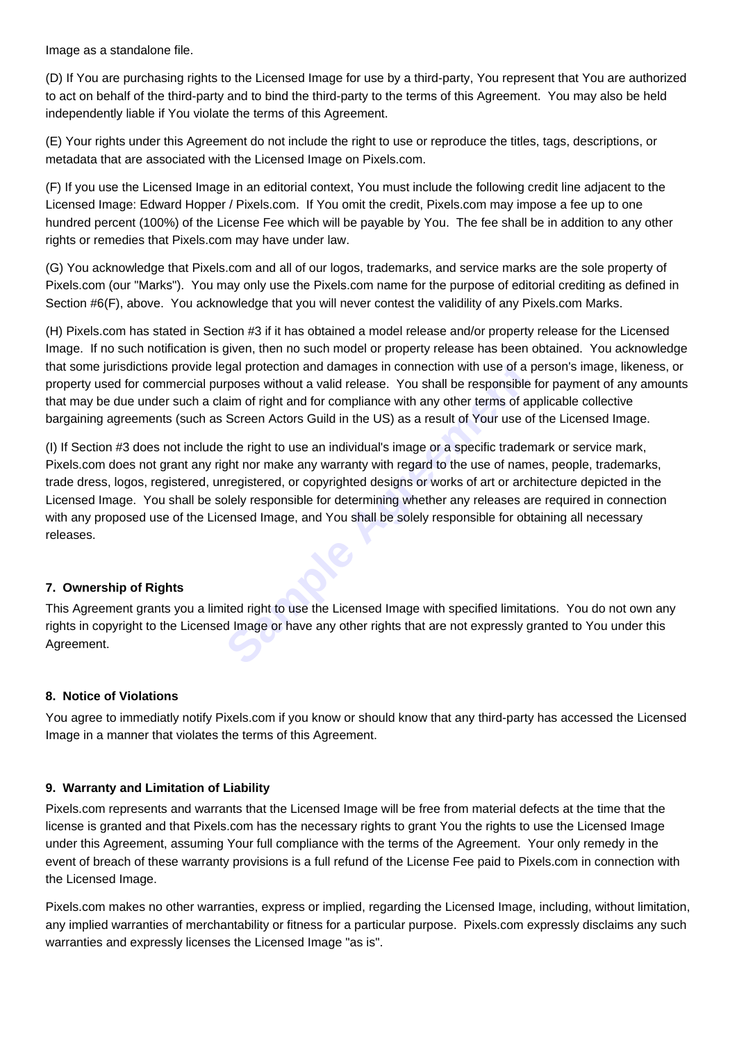Image as a standalone file.

(D) If You are purchasing rights to the Licensed Image for use by a third-party, You represent that You are authorized to act on behalf of the third-party and to bind the third-party to the terms of this Agreement. You may also be held independently liable if You violate the terms of this Agreement.

(E) Your rights under this Agreement do not include the right to use or reproduce the titles, tags, descriptions, or metadata that are associated with the Licensed Image on Pixels.com.

(F) If you use the Licensed Image in an editorial context, You must include the following credit line adjacent to the Licensed Image: Edward Hopper / Pixels.com. If You omit the credit, Pixels.com may impose a fee up to one hundred percent (100%) of the License Fee which will be payable by You. The fee shall be in addition to any other rights or remedies that Pixels.com may have under law.

(G) You acknowledge that Pixels.com and all of our logos, trademarks, and service marks are the sole property of Pixels.com (our "Marks"). You may only use the Pixels.com name for the purpose of editorial crediting as defined in Section #6(F), above. You acknowledge that you will never contest the validility of any Pixels.com Marks.

(H) Pixels.com has stated in Section #3 if it has obtained a model release and/or property release for the Licensed Image. If no such notification is given, then no such model or property release has been obtained. You acknowledge that some jurisdictions provide legal protection and damages in connection with use of a person's image, likeness, or property used for commercial purposes without a valid release. You shall be responsible for payment of any amounts that may be due under such a claim of right and for compliance with any other terms of applicable collective bargaining agreements (such as Screen Actors Guild in the US) as a result of Your use of the Licensed Image.

repression and damages in connection with use of a proses without a valid release. You shall be responsible aim of right and for compliance with any other terms of approximation of right and for compliance with any other t (I) If Section #3 does not include the right to use an individual's image or a specific trademark or service mark, Pixels.com does not grant any right nor make any warranty with regard to the use of names, people, trademarks, trade dress, logos, registered, unregistered, or copyrighted designs or works of art or architecture depicted in the Licensed Image. You shall be solely responsible for determining whether any releases are required in connection with any proposed use of the Licensed Image, and You shall be solely responsible for obtaining all necessary releases.

# **7. Ownership of Rights**

This Agreement grants you a limited right to use the Licensed Image with specified limitations. You do not own any rights in copyright to the Licensed Image or have any other rights that are not expressly granted to You under this Agreement.

## **8. Notice of Violations**

You agree to immediatly notify Pixels.com if you know or should know that any third-party has accessed the Licensed Image in a manner that violates the terms of this Agreement.

## **9. Warranty and Limitation of Liability**

Pixels.com represents and warrants that the Licensed Image will be free from material defects at the time that the license is granted and that Pixels.com has the necessary rights to grant You the rights to use the Licensed Image under this Agreement, assuming Your full compliance with the terms of the Agreement. Your only remedy in the event of breach of these warranty provisions is a full refund of the License Fee paid to Pixels.com in connection with the Licensed Image.

Pixels.com makes no other warranties, express or implied, regarding the Licensed Image, including, without limitation, any implied warranties of merchantability or fitness for a particular purpose. Pixels.com expressly disclaims any such warranties and expressly licenses the Licensed Image "as is".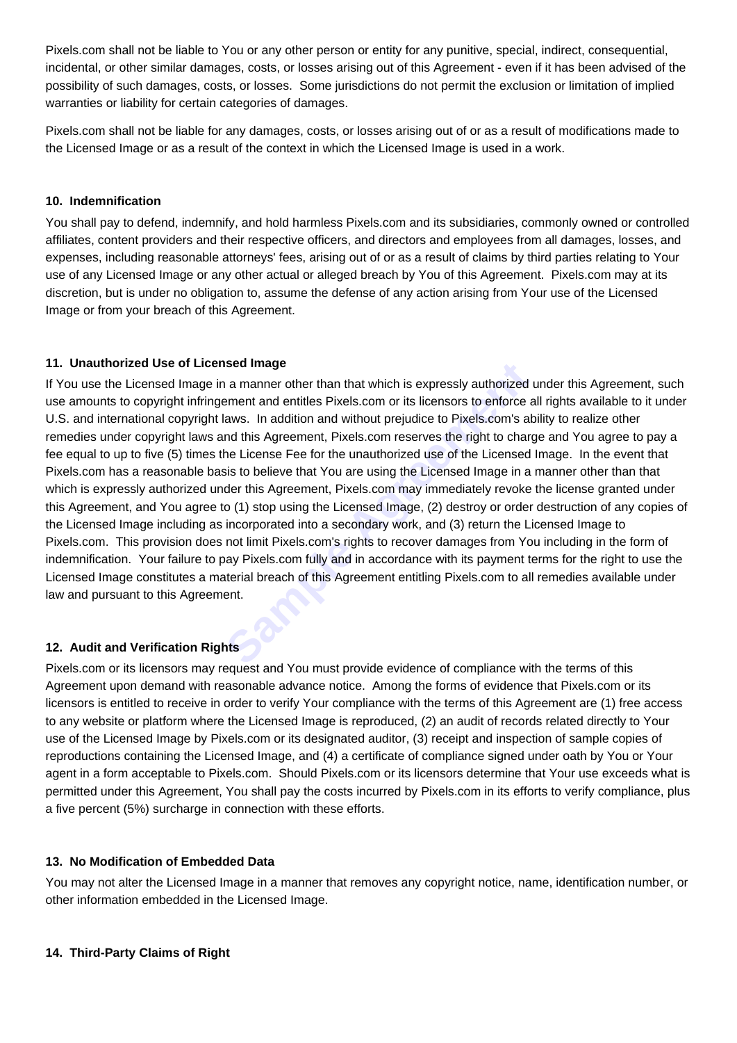Pixels.com shall not be liable to You or any other person or entity for any punitive, special, indirect, consequential, incidental, or other similar damages, costs, or losses arising out of this Agreement - even if it has been advised of the possibility of such damages, costs, or losses. Some jurisdictions do not permit the exclusion or limitation of implied warranties or liability for certain categories of damages.

Pixels.com shall not be liable for any damages, costs, or losses arising out of or as a result of modifications made to the Licensed Image or as a result of the context in which the Licensed Image is used in a work.

## **10. Indemnification**

You shall pay to defend, indemnify, and hold harmless Pixels.com and its subsidiaries, commonly owned or controlled affiliates, content providers and their respective officers, and directors and employees from all damages, losses, and expenses, including reasonable attorneys' fees, arising out of or as a result of claims by third parties relating to Your use of any Licensed Image or any other actual or alleged breach by You of this Agreement. Pixels.com may at its discretion, but is under no obligation to, assume the defense of any action arising from Your use of the Licensed Image or from your breach of this Agreement.

## **11. Unauthorized Use of Licensed Image**

**Sample 1 Agreement Agreement Sample Agreement and entities Pixels.com or its licensors to enforce a laws.** In addition and without prejudice to Pixels.com's at nd this Agreement, Pixels.com reserves the right to charge th If You use the Licensed Image in a manner other than that which is expressly authorized under this Agreement, such use amounts to copyright infringement and entitles Pixels.com or its licensors to enforce all rights available to it under U.S. and international copyright laws. In addition and without prejudice to Pixels.com's ability to realize other remedies under copyright laws and this Agreement, Pixels.com reserves the right to charge and You agree to pay a fee equal to up to five (5) times the License Fee for the unauthorized use of the Licensed Image. In the event that Pixels.com has a reasonable basis to believe that You are using the Licensed Image in a manner other than that which is expressly authorized under this Agreement, Pixels.com may immediately revoke the license granted under this Agreement, and You agree to (1) stop using the Licensed Image, (2) destroy or order destruction of any copies of the Licensed Image including as incorporated into a secondary work, and (3) return the Licensed Image to Pixels.com. This provision does not limit Pixels.com's rights to recover damages from You including in the form of indemnification. Your failure to pay Pixels.com fully and in accordance with its payment terms for the right to use the Licensed Image constitutes a material breach of this Agreement entitling Pixels.com to all remedies available under law and pursuant to this Agreement.

## **12. Audit and Verification Rights**

Pixels.com or its licensors may request and You must provide evidence of compliance with the terms of this Agreement upon demand with reasonable advance notice. Among the forms of evidence that Pixels.com or its licensors is entitled to receive in order to verify Your compliance with the terms of this Agreement are (1) free access to any website or platform where the Licensed Image is reproduced, (2) an audit of records related directly to Your use of the Licensed Image by Pixels.com or its designated auditor, (3) receipt and inspection of sample copies of reproductions containing the Licensed Image, and (4) a certificate of compliance signed under oath by You or Your agent in a form acceptable to Pixels.com. Should Pixels.com or its licensors determine that Your use exceeds what is permitted under this Agreement, You shall pay the costs incurred by Pixels.com in its efforts to verify compliance, plus a five percent (5%) surcharge in connection with these efforts.

## **13. No Modification of Embedded Data**

You may not alter the Licensed Image in a manner that removes any copyright notice, name, identification number, or other information embedded in the Licensed Image.